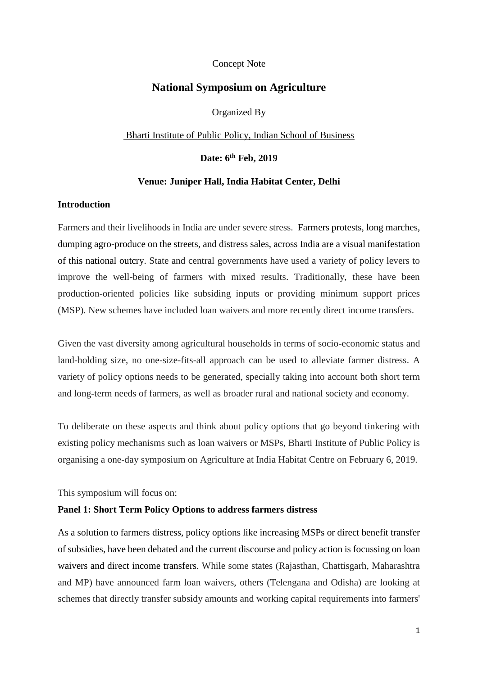### Concept Note

# **National Symposium on Agriculture**

Organized By

Bharti Institute of Public Policy, Indian School of Business

**Date: 6th Feb, 2019**

## **Venue: Juniper Hall, India Habitat Center, Delhi**

# **Introduction**

Farmers and their livelihoods in India are under severe stress. Farmers protests, long marches, dumping agro-produce on the streets, and distress sales, across India are a visual manifestation of this national outcry. State and central governments have used a variety of policy levers to improve the well-being of farmers with mixed results. Traditionally, these have been production-oriented policies like subsiding inputs or providing minimum support prices (MSP). New schemes have included loan waivers and more recently direct income transfers.

Given the vast diversity among agricultural households in terms of socio-economic status and land-holding size, no one-size-fits-all approach can be used to alleviate farmer distress. A variety of policy options needs to be generated, specially taking into account both short term and long-term needs of farmers, as well as broader rural and national society and economy.

To deliberate on these aspects and think about policy options that go beyond tinkering with existing policy mechanisms such as loan waivers or MSPs, Bharti Institute of Public Policy is organising a one-day symposium on Agriculture at India Habitat Centre on February 6, 2019.

This symposium will focus on:

### **Panel 1: Short Term Policy Options to address farmers distress**

As a solution to farmers distress, policy options like increasing MSPs or direct benefit transfer of subsidies, have been debated and the current discourse and policy action is focussing on loan waivers and direct income transfers. While some states (Rajasthan, Chattisgarh, Maharashtra and MP) have announced farm loan waivers, others (Telengana and Odisha) are looking at schemes that directly transfer subsidy amounts and working capital requirements into farmers'